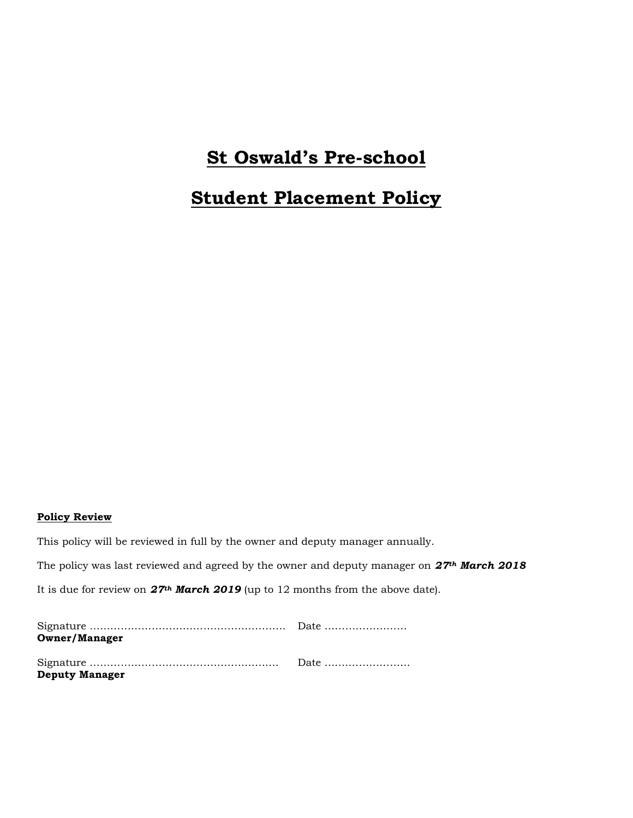# **St Oswald's Pre-school**

## **Student Placement Policy**

### **Policy Review**

This policy will be reviewed in full by the owner and deputy manager annually.

The policy was last reviewed and agreed by the owner and deputy manager on *27th March 2018*

It is due for review on *27th March 2019* (up to 12 months from the above date).

| <b>Owner/Manager</b>  |  |
|-----------------------|--|
|                       |  |
| <b>Deputy Manager</b> |  |